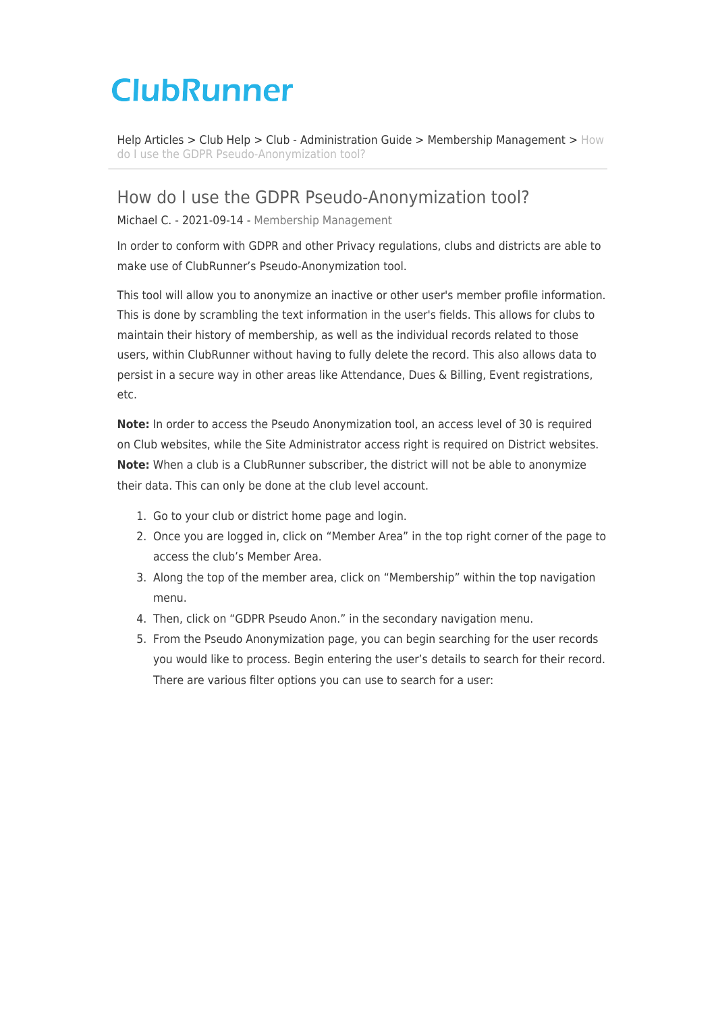# **ClubRunner**

[Help Articles](https://www.clubrunnersupport.com/kb) > [Club Help](https://www.clubrunnersupport.com/kb/club-help) > [Club - Administration Guide](https://www.clubrunnersupport.com/kb/club-administration-guide) > [Membership Management](https://www.clubrunnersupport.com/kb/membership-management) > [How](https://www.clubrunnersupport.com/kb/articles/how-do-i-use-the-gdpr-pseudo-anonymization-tool) [do I use the GDPR Pseudo-Anonymization tool?](https://www.clubrunnersupport.com/kb/articles/how-do-i-use-the-gdpr-pseudo-anonymization-tool)

## How do I use the GDPR Pseudo-Anonymization tool?

Michael C. - 2021-09-14 - [Membership Management](https://www.clubrunnersupport.com/kb/membership-management)

In order to conform with GDPR and other Privacy regulations, clubs and districts are able to make use of ClubRunner's Pseudo-Anonymization tool.

This tool will allow you to anonymize an inactive or other user's member profile information. This is done by scrambling the text information in the user's fields. This allows for clubs to maintain their history of membership, as well as the individual records related to those users, within ClubRunner without having to fully delete the record. This also allows data to persist in a secure way in other areas like Attendance, Dues & Billing, Event registrations, etc.

**Note:** In order to access the Pseudo Anonymization tool, an access level of 30 is required on Club websites, while the Site Administrator access right is required on District websites. **Note:** When a club is a ClubRunner subscriber, the district will not be able to anonymize their data. This can only be done at the club level account.

- 1. Go to your club or district home page and login.
- 2. Once you are logged in, click on "Member Area" in the top right corner of the page to access the club's Member Area.
- 3. Along the top of the member area, click on "Membership" within the top navigation menu.
- 4. Then, click on "GDPR Pseudo Anon." in the secondary navigation menu.
- 5. From the Pseudo Anonymization page, you can begin searching for the user records you would like to process. Begin entering the user's details to search for their record. There are various filter options you can use to search for a user: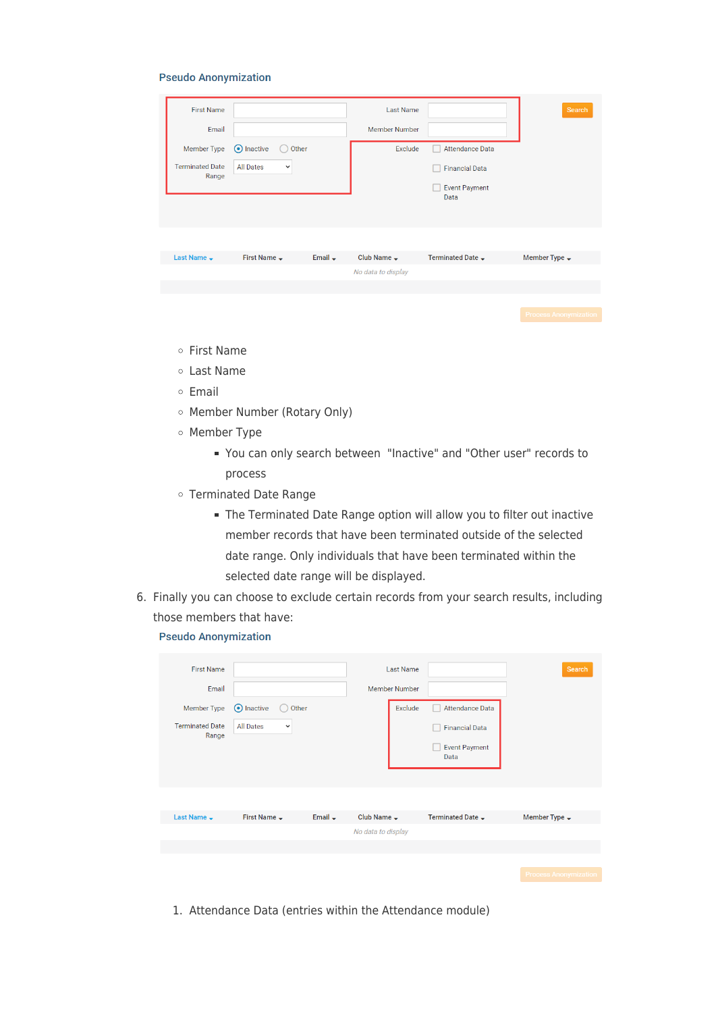#### **Pseudo Anonymization**

| <b>First Name</b><br>Email<br><b>Member Type</b><br><b>Terminated Date</b><br>Range | (•) Inactive<br>Other<br><b>All Dates</b><br>$\checkmark$ |              | <b>Last Name</b><br><b>Member Number</b><br>Exclude | <b>Attendance Data</b><br><b>Financial Data</b><br><b>Event Payment</b><br>Data | Search,                      |
|-------------------------------------------------------------------------------------|-----------------------------------------------------------|--------------|-----------------------------------------------------|---------------------------------------------------------------------------------|------------------------------|
| Last Name $\rightarrow$                                                             | First Name $\rightarrow$                                  | Email $\div$ | Club Name $\rightarrow$                             | Terminated Date -                                                               | Member Type $\rightarrow$    |
|                                                                                     |                                                           |              | No data to display                                  |                                                                                 |                              |
|                                                                                     |                                                           |              |                                                     |                                                                                 |                              |
|                                                                                     |                                                           |              |                                                     |                                                                                 | <b>Process Anonymization</b> |

- First Name
- Last Name
- o Email
- o Member Number (Rotary Only)
- o Member Type
	- You can only search between "Inactive" and "Other user" records to process
- Terminated Date Range
	- The Terminated Date Range option will allow you to filter out inactive member records that have been terminated outside of the selected date range. Only individuals that have been terminated within the selected date range will be displayed.
- 6. Finally you can choose to exclude certain records from your search results, including those members that have:

**Pseudo Anonymization** 

| <b>First Name</b><br>Email<br><b>Member Type</b><br><b>Terminated Date</b><br>Range | (•) Inactive<br>Other<br><b>All Dates</b><br>$\checkmark$ |                     |                         | <b>Last Name</b><br><b>Member Number</b><br>Exclude | <b>Attendance Data</b><br><b>Financial Data</b><br><b>Event Payment</b><br>Data | Search                    |
|-------------------------------------------------------------------------------------|-----------------------------------------------------------|---------------------|-------------------------|-----------------------------------------------------|---------------------------------------------------------------------------------|---------------------------|
| Last Name $\rightarrow$                                                             | First Name $\rightarrow$                                  | Email $\rightarrow$ | Club Name $\rightarrow$ |                                                     | Terminated Date -                                                               | Member Type $\rightarrow$ |
|                                                                                     |                                                           |                     | No data to display      |                                                     |                                                                                 |                           |
|                                                                                     |                                                           |                     |                         |                                                     |                                                                                 |                           |
|                                                                                     |                                                           |                     |                         |                                                     |                                                                                 |                           |

1. Attendance Data (entries within the Attendance module)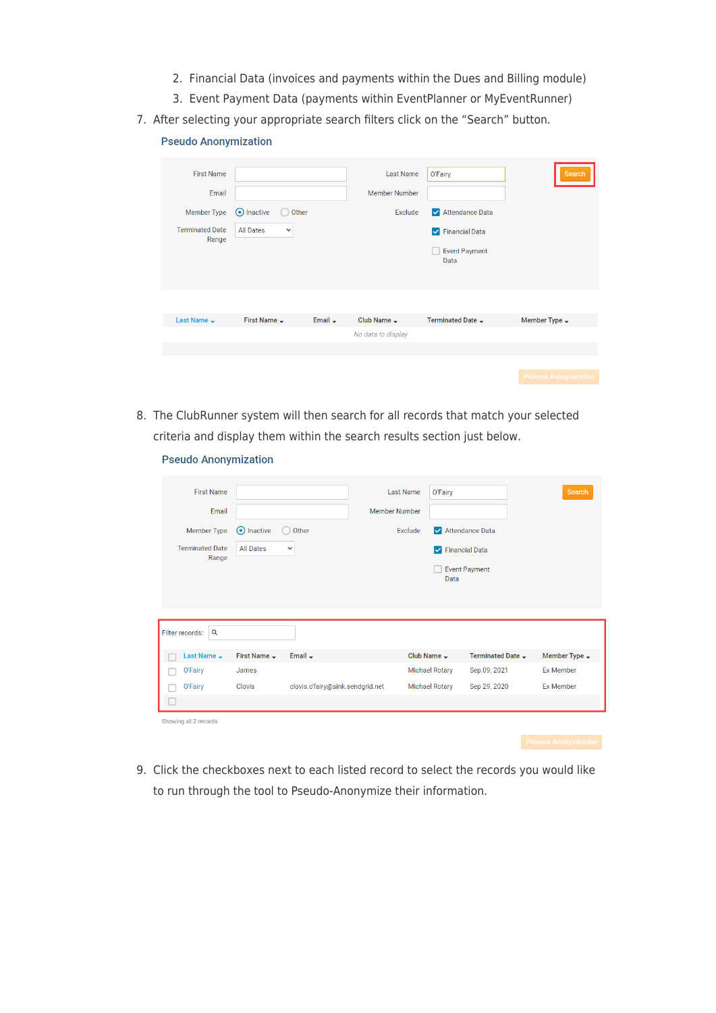- 2. Financial Data (invoices and payments within the Dues and Billing module)
- 3. Event Payment Data (payments within EventPlanner or MyEventRunner)
- 7. After selecting your appropriate search filters click on the "Search" button.

### **Pseudo Anonymization**

| <b>First Name</b><br>Email<br>Member Type<br><b>Terminated Date</b><br>Range | (•) Inactive<br>Other<br><b>All Dates</b><br>$\checkmark$ |              | <b>Last Name</b><br><b>Member Number</b><br>Exclude | O'Fairy<br>Attendance Data<br><b>V</b> Financial Data<br><b>Event Payment</b><br>Data | Search                       |
|------------------------------------------------------------------------------|-----------------------------------------------------------|--------------|-----------------------------------------------------|---------------------------------------------------------------------------------------|------------------------------|
| Last Name $\rightarrow$                                                      | First Name $\rightarrow$                                  | Email $\div$ | Club Name $\rightarrow$                             | Terminated Date -                                                                     | Member Type $\rightarrow$    |
|                                                                              |                                                           |              | No data to display                                  |                                                                                       |                              |
|                                                                              |                                                           |              |                                                     |                                                                                       |                              |
|                                                                              |                                                           |              |                                                     |                                                                                       | <b>Process Anonymization</b> |

8. The ClubRunner system will then search for all records that match your selected criteria and display them within the search results section just below.

#### **Pseudo Anonymization**

| <b>First Name</b>               |                          |                                  | <b>Last Name</b>        | O'Fairy               |                               | Search                    |
|---------------------------------|--------------------------|----------------------------------|-------------------------|-----------------------|-------------------------------|---------------------------|
| Email                           |                          |                                  | <b>Member Number</b>    |                       |                               |                           |
| <b>Member Type</b>              | (•) Inactive             | Other                            | Exclude                 |                       | Attendance Data               |                           |
| <b>Terminated Date</b><br>Range | <b>All Dates</b>         | $\check{~}$                      |                         | M                     | <b>Financial Data</b>         |                           |
|                                 |                          |                                  |                         | Data                  | <b>Event Payment</b>          |                           |
|                                 |                          |                                  |                         |                       |                               |                           |
|                                 |                          |                                  |                         |                       |                               |                           |
| Filter records:<br>Q            |                          |                                  |                         |                       |                               |                           |
| Last Name $\rightarrow$         | First Name $\rightarrow$ | Email $\rightarrow$              | Club Name $\rightarrow$ |                       | Terminated Date $\rightarrow$ | Member Type $\rightarrow$ |
| O'Fairy                         | James                    |                                  |                         | <b>Michael Rotary</b> | Sep 09, 2021                  | <b>Ex Member</b>          |
| O'Fairy                         | <b>Clovis</b>            | clovis.o'fairy@sink.sendgrid.net |                         | <b>Michael Rotary</b> | Sep 29, 2020                  | <b>Ex Member</b>          |
| ш                               |                          |                                  |                         |                       |                               |                           |
| Showing all 2 records           |                          |                                  |                         |                       |                               |                           |

9. Click the checkboxes next to each listed record to select the records you would like to run through the tool to Pseudo-Anonymize their information.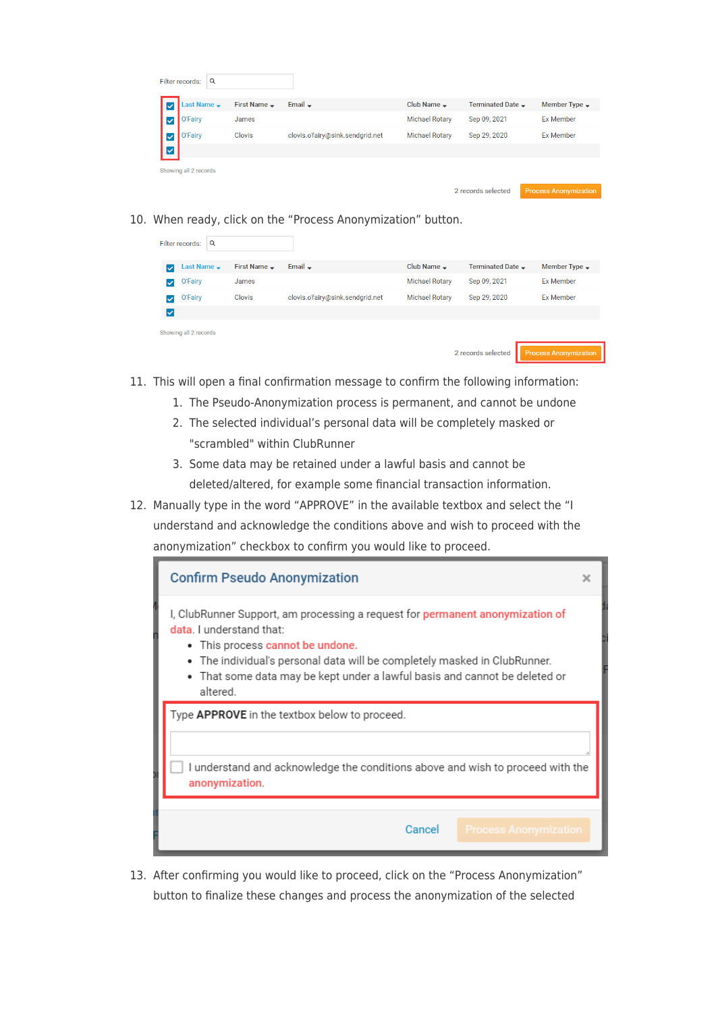|   | Q<br>Filter records:  |                          |                                  |                         |                               |                                                                                                                                                                                                                               |
|---|-----------------------|--------------------------|----------------------------------|-------------------------|-------------------------------|-------------------------------------------------------------------------------------------------------------------------------------------------------------------------------------------------------------------------------|
|   | Last Name –           | First Name $\rightarrow$ | Email $\div$                     | Club Name $\rightarrow$ | Terminated Date $\rightarrow$ | Member Type $\rightarrow$                                                                                                                                                                                                     |
|   | O'Fairy               | James                    |                                  | <b>Michael Rotary</b>   | Sep 09, 2021                  | <b>Ex Member</b>                                                                                                                                                                                                              |
|   | O'Fairy               | Clovis                   | clovis.o'fairy@sink.sendgrid.net | <b>Michael Rotary</b>   | Sep 29, 2020                  | <b>Ex Member</b>                                                                                                                                                                                                              |
| ⊽ |                       |                          |                                  |                         |                               |                                                                                                                                                                                                                               |
|   | Showing all 2 records |                          |                                  |                         |                               |                                                                                                                                                                                                                               |
|   |                       |                          |                                  |                         | Organization of the stand     | The company of the company of the company of the company of the company of the company of the company of the company of the company of the company of the company of the company of the company of the company of the company |

10. When ready, click on the "Process Anonymization" button.

| Q<br>Filter records:         |                   |                                  |                         |                               |                              |
|------------------------------|-------------------|----------------------------------|-------------------------|-------------------------------|------------------------------|
| Last Name $\rightarrow$<br>V | First Name $\sim$ | Email $\div$                     | Club Name $\rightarrow$ | Terminated Date $\rightarrow$ | Member Type $\rightarrow$    |
| O'Fairy<br>◡                 | James             |                                  | <b>Michael Rotary</b>   | Sep 09, 2021                  | <b>Ex Member</b>             |
| O'Fairy<br>◡                 | Clovis            | clovis.o'fairy@sink.sendgrid.net | <b>Michael Rotary</b>   | Sep 29, 2020                  | <b>Ex Member</b>             |
| է                            |                   |                                  |                         |                               |                              |
| Showing all 2 records        |                   |                                  |                         |                               |                              |
|                              |                   |                                  |                         | 2 records selected            | <b>Process Anonymization</b> |

- 11. This will open a final confirmation message to confirm the following information:
	- 1. The Pseudo-Anonymization process is permanent, and cannot be undone
	- 2. The selected individual's personal data will be completely masked or "scrambled" within ClubRunner
	- 3. Some data may be retained under a lawful basis and cannot be deleted/altered, for example some financial transaction information.
- 12. Manually type in the word "APPROVE" in the available textbox and select the "I understand and acknowledge the conditions above and wish to proceed with the anonymization" checkbox to confirm you would like to proceed.



13. After confirming you would like to proceed, click on the "Process Anonymization" button to finalize these changes and process the anonymization of the selected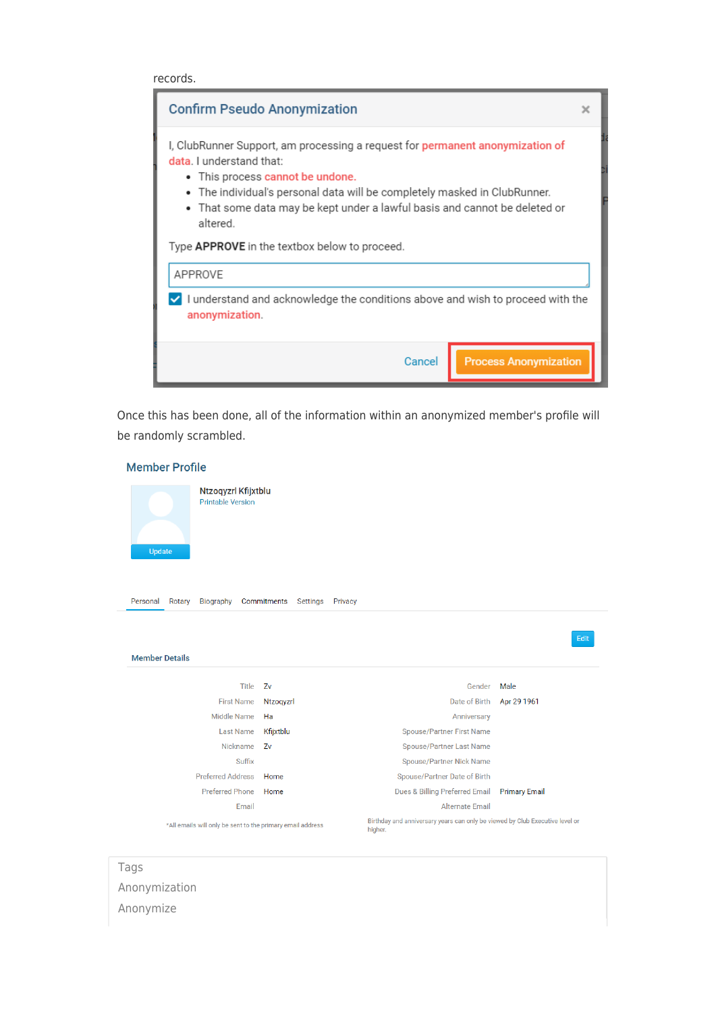records.



Once this has been done, all of the information within an anonymized member's profile will be randomly scrambled.



[Anonymization](https://www.clubrunnersupport.com/search/labels/all/Anonymization) [Anonymize](https://www.clubrunnersupport.com/search/labels/all/Anonymize)